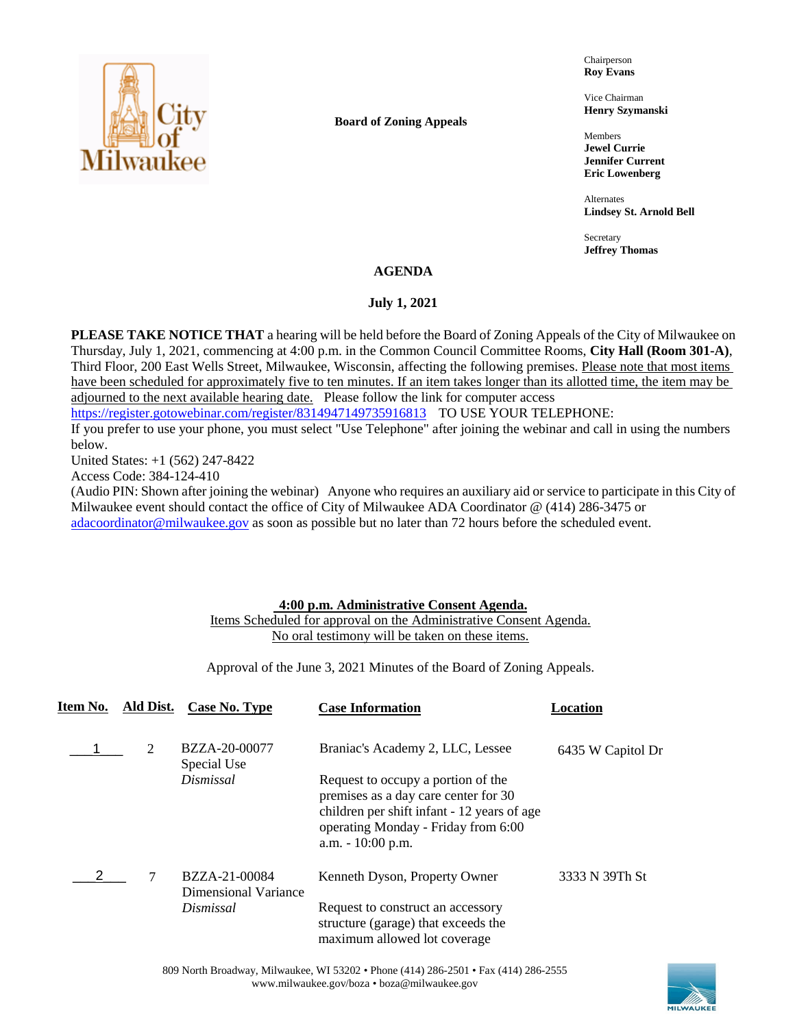

**Board of Zoning Appeals**

Chairperson **Roy Evans**

Vice Chairman **Henry Szymanski**

Members **Jewel Currie Jennifer Current Eric Lowenberg**

Alternates **Lindsey St. Arnold Bell**

Secretary **Jeffrey Thomas**

## **AGENDA**

### **July 1, 2021**

**PLEASE TAKE NOTICE THAT** a hearing will be held before the Board of Zoning Appeals of the City of Milwaukee on Thursday, July 1, 2021, commencing at 4:00 p.m. in the Common Council Committee Rooms, **City Hall (Room 301-A)**, Third Floor, 200 East Wells Street, Milwaukee, Wisconsin, affecting the following premises. Please note that most items have been scheduled for approximately five to ten minutes. If an item takes longer than its allotted time, the item may be adjourned to the next available hearing date. Please follow the link for computer access

<https://register.gotowebinar.com/register/8314947149735916813> TO USE YOUR TELEPHONE:

If you prefer to use your phone, you must select "Use Telephone" after joining the webinar and call in using the numbers below.

United States: +1 (562) 247-8422

Access Code: 384-124-410

(Audio PIN: Shown after joining the webinar) Anyone who requires an auxiliary aid or service to participate in this City of Milwaukee event should contact the office of City of Milwaukee ADA Coordinator @ (414) 286-3475 or [adacoordinator@milwaukee.gov](mailto:adacoordinator@milwaukee.gov) as soon as possible but no later than 72 hours before the scheduled event.

## **4:00 p.m. Administrative Consent Agenda.**

# Items Scheduled for approval on the Administrative Consent Agenda. No oral testimony will be taken on these items.

Approval of the June 3, 2021 Minutes of the Board of Zoning Appeals.

| Item No. | Ald Dist. | Case No. Type                         | <b>Case Information</b>                                                                                                                                                                 | Location          |
|----------|-----------|---------------------------------------|-----------------------------------------------------------------------------------------------------------------------------------------------------------------------------------------|-------------------|
|          | 2         | BZZA-20-00077<br>Special Use          | Braniac's Academy 2, LLC, Lessee                                                                                                                                                        | 6435 W Capitol Dr |
|          |           | Dismissal                             | Request to occupy a portion of the<br>premises as a day care center for 30<br>children per shift infant - 12 years of age<br>operating Monday - Friday from 6:00<br>$a.m. - 10:00 p.m.$ |                   |
|          | 7         | BZZA-21-00084<br>Dimensional Variance | Kenneth Dyson, Property Owner                                                                                                                                                           | 3333 N 39Th St    |
|          |           | Dismissal                             | Request to construct an accessory<br>structure (garage) that exceeds the<br>maximum allowed lot coverage                                                                                |                   |

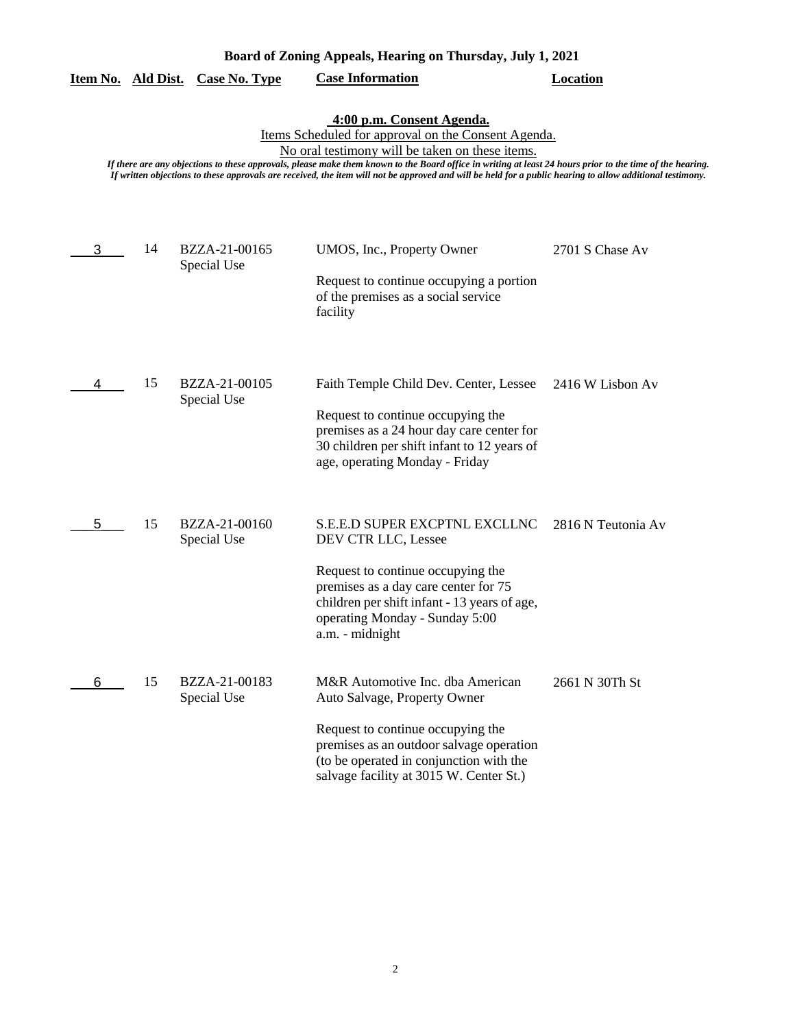| Board of Zoning Appeals, Hearing on Thursday, July 1, 2021 |
|------------------------------------------------------------|
|------------------------------------------------------------|

# **Item No. Ald Dist. Case No. Type Case Information Location**

**4:00 p.m. Consent Agenda.**

Items Scheduled for approval on the Consent Agenda.

No oral testimony will be taken on these items.

*If there are any objections to these approvals, please make them known to the Board office in writing at least 24 hours prior to the time of the hearing. If written objections to these approvals are received, the item will not be approved and will be held for a public hearing to allow additional testimony.*

| 3 | 14 | BZZA-21-00165<br>Special Use | UMOS, Inc., Property Owner<br>Request to continue occupying a portion<br>of the premises as a social service<br>facility                                                                                                                      | 2701 S Chase Av    |
|---|----|------------------------------|-----------------------------------------------------------------------------------------------------------------------------------------------------------------------------------------------------------------------------------------------|--------------------|
| 4 | 15 | BZZA-21-00105<br>Special Use | Faith Temple Child Dev. Center, Lessee<br>Request to continue occupying the<br>premises as a 24 hour day care center for<br>30 children per shift infant to 12 years of<br>age, operating Monday - Friday                                     | 2416 W Lisbon Av   |
| 5 | 15 | BZZA-21-00160<br>Special Use | <b>S.E.E.D SUPER EXCPTNL EXCLLNC</b><br>DEV CTR LLC, Lessee<br>Request to continue occupying the<br>premises as a day care center for 75<br>children per shift infant - 13 years of age,<br>operating Monday - Sunday 5:00<br>a.m. - midnight | 2816 N Teutonia Av |
| 6 | 15 | BZZA-21-00183<br>Special Use | M&R Automotive Inc. dba American<br>Auto Salvage, Property Owner<br>Request to continue occupying the<br>premises as an outdoor salvage operation<br>(to be operated in conjunction with the<br>salvage facility at 3015 W. Center St.)       | 2661 N 30Th St     |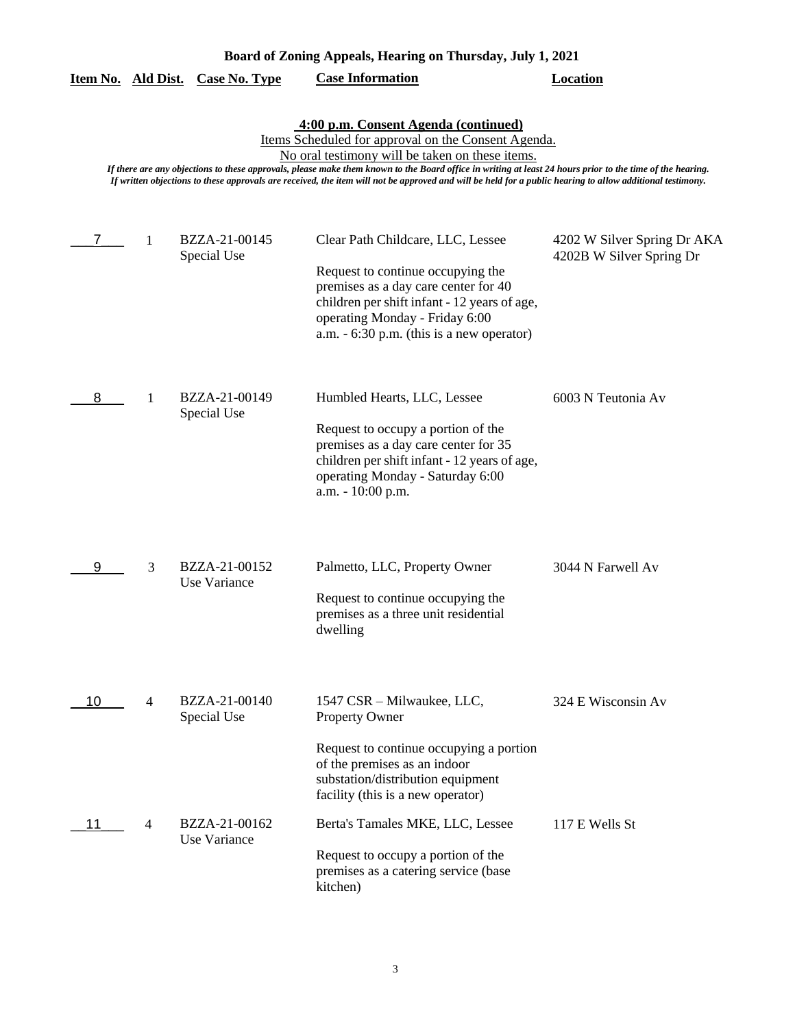| Board of Zoning Appeals, Hearing on Thursday, July 1, 2021 |
|------------------------------------------------------------|
|------------------------------------------------------------|

|  |  | Item No. Ald Dist. Case No. Type | <b>Case Information</b> | Location |
|--|--|----------------------------------|-------------------------|----------|
|--|--|----------------------------------|-------------------------|----------|

**4:00 p.m. Consent Agenda (continued)**

Items Scheduled for approval on the Consent Agenda.

No oral testimony will be taken on these items.

*If there are any objections to these approvals, please make them known to the Board office in writing at least 24 hours prior to the time of the hearing. If written objections to these approvals are received, the item will not be approved and will be held for a public hearing to allow additional testimony.*

| 7  | 1 | BZZA-21-00145<br>Special Use  | Clear Path Childcare, LLC, Lessee<br>Request to continue occupying the<br>premises as a day care center for 40<br>children per shift infant - 12 years of age,<br>operating Monday - Friday 6:00<br>a.m. - 6:30 p.m. (this is a new operator) | 4202 W Silver Spring Dr AKA<br>4202B W Silver Spring Dr |
|----|---|-------------------------------|-----------------------------------------------------------------------------------------------------------------------------------------------------------------------------------------------------------------------------------------------|---------------------------------------------------------|
| 8  | 1 | BZZA-21-00149<br>Special Use  | Humbled Hearts, LLC, Lessee<br>Request to occupy a portion of the<br>premises as a day care center for 35<br>children per shift infant - 12 years of age,<br>operating Monday - Saturday 6:00<br>a.m. - 10:00 p.m.                            | 6003 N Teutonia Av                                      |
| 9  | 3 | BZZA-21-00152<br>Use Variance | Palmetto, LLC, Property Owner<br>Request to continue occupying the<br>premises as a three unit residential<br>dwelling                                                                                                                        | 3044 N Farwell Av                                       |
| 10 | 4 | BZZA-21-00140<br>Special Use  | 1547 CSR - Milwaukee, LLC,<br>Property Owner<br>Request to continue occupying a portion<br>of the premises as an indoor<br>substation/distribution equipment<br>facility (this is a new operator)                                             | 324 E Wisconsin Av                                      |
| 11 | 4 | BZZA-21-00162<br>Use Variance | Berta's Tamales MKE, LLC, Lessee<br>Request to occupy a portion of the<br>premises as a catering service (base<br>kitchen)                                                                                                                    | 117 E Wells St                                          |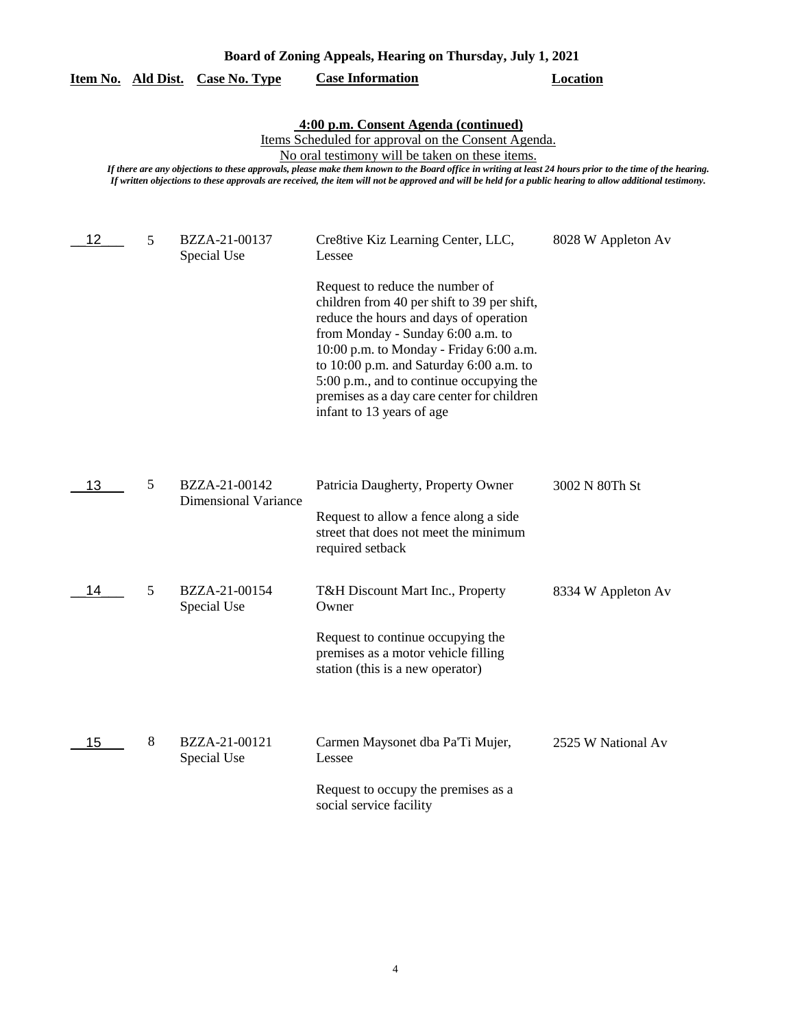| Board of Zoning Appeals, Hearing on Thursday, July 1, 2021                                                                                                                                                                                                                                                                                                                                                                                                               |   |                                              |                                                                                                                                                                                                                                                                                                                                         |                    |  |  |  |  |
|--------------------------------------------------------------------------------------------------------------------------------------------------------------------------------------------------------------------------------------------------------------------------------------------------------------------------------------------------------------------------------------------------------------------------------------------------------------------------|---|----------------------------------------------|-----------------------------------------------------------------------------------------------------------------------------------------------------------------------------------------------------------------------------------------------------------------------------------------------------------------------------------------|--------------------|--|--|--|--|
| Item No. Ald Dist.                                                                                                                                                                                                                                                                                                                                                                                                                                                       |   | <b>Case No. Type</b>                         | <b>Case Information</b>                                                                                                                                                                                                                                                                                                                 | <b>Location</b>    |  |  |  |  |
| 4:00 p.m. Consent Agenda (continued)<br>Items Scheduled for approval on the Consent Agenda.<br>No oral testimony will be taken on these items.<br>If there are any objections to these approvals, please make them known to the Board office in writing at least 24 hours prior to the time of the hearing.<br>If written objections to these approvals are received, the item will not be approved and will be held for a public hearing to allow additional testimony. |   |                                              |                                                                                                                                                                                                                                                                                                                                         |                    |  |  |  |  |
| 12                                                                                                                                                                                                                                                                                                                                                                                                                                                                       | 5 | BZZA-21-00137<br>Special Use                 | Cre8tive Kiz Learning Center, LLC,<br>Lessee<br>Request to reduce the number of                                                                                                                                                                                                                                                         | 8028 W Appleton Av |  |  |  |  |
|                                                                                                                                                                                                                                                                                                                                                                                                                                                                          |   |                                              | children from 40 per shift to 39 per shift,<br>reduce the hours and days of operation<br>from Monday - Sunday 6:00 a.m. to<br>10:00 p.m. to Monday - Friday 6:00 a.m.<br>to 10:00 p.m. and Saturday 6:00 a.m. to<br>5:00 p.m., and to continue occupying the<br>premises as a day care center for children<br>infant to 13 years of age |                    |  |  |  |  |
| 13                                                                                                                                                                                                                                                                                                                                                                                                                                                                       | 5 | BZZA-21-00142<br><b>Dimensional Variance</b> | Patricia Daugherty, Property Owner                                                                                                                                                                                                                                                                                                      | 3002 N 80Th St     |  |  |  |  |
|                                                                                                                                                                                                                                                                                                                                                                                                                                                                          |   |                                              | Request to allow a fence along a side<br>street that does not meet the minimum<br>required setback                                                                                                                                                                                                                                      |                    |  |  |  |  |
| 14                                                                                                                                                                                                                                                                                                                                                                                                                                                                       | 5 | BZZA-21-00154<br>Special Use                 | T&H Discount Mart Inc., Property<br>Owner                                                                                                                                                                                                                                                                                               | 8334 W Appleton Av |  |  |  |  |
|                                                                                                                                                                                                                                                                                                                                                                                                                                                                          |   |                                              | Request to continue occupying the<br>premises as a motor vehicle filling<br>station (this is a new operator)                                                                                                                                                                                                                            |                    |  |  |  |  |
| 15                                                                                                                                                                                                                                                                                                                                                                                                                                                                       | 8 | BZZA-21-00121<br>Special Use                 | Carmen Maysonet dba Pa'Ti Mujer,<br>Lessee                                                                                                                                                                                                                                                                                              | 2525 W National Av |  |  |  |  |
|                                                                                                                                                                                                                                                                                                                                                                                                                                                                          |   |                                              | Request to occupy the premises as a<br>social service facility                                                                                                                                                                                                                                                                          |                    |  |  |  |  |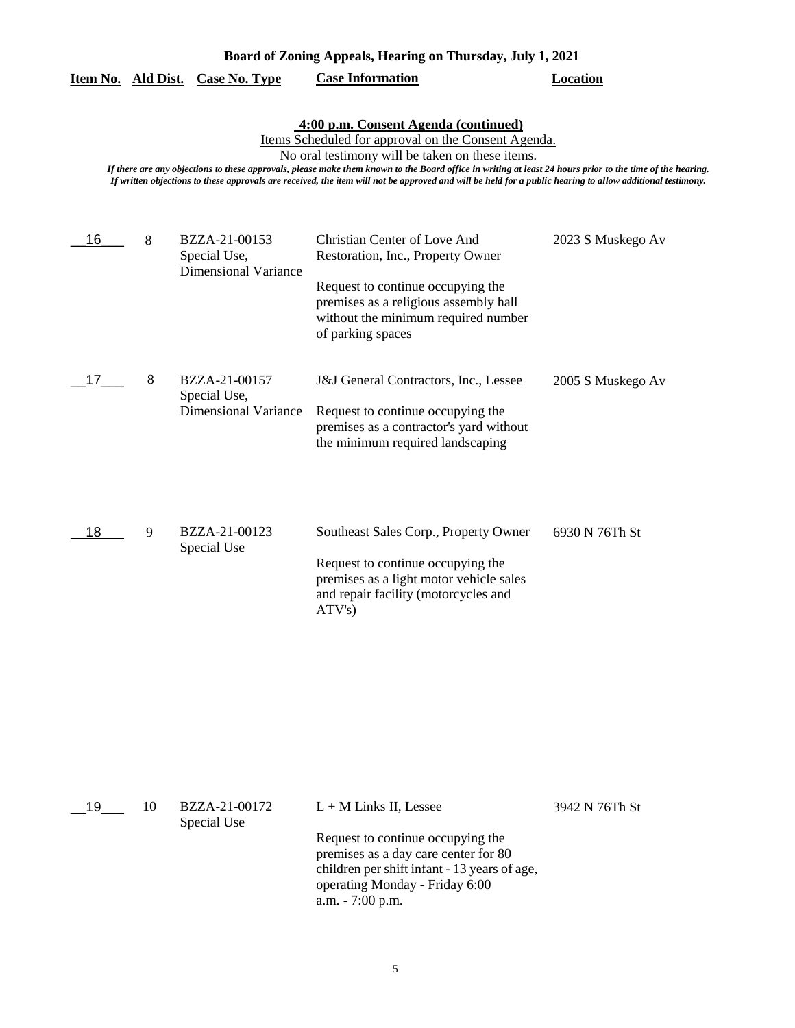| Board of Zoning Appeals, Hearing on Thursday, July 1, 2021                                                                                                                                                                                                                                                                                                                                                                                                                                     |   |                                                              |                                                                                                                                                                                                             |                   |  |  |  |
|------------------------------------------------------------------------------------------------------------------------------------------------------------------------------------------------------------------------------------------------------------------------------------------------------------------------------------------------------------------------------------------------------------------------------------------------------------------------------------------------|---|--------------------------------------------------------------|-------------------------------------------------------------------------------------------------------------------------------------------------------------------------------------------------------------|-------------------|--|--|--|
|                                                                                                                                                                                                                                                                                                                                                                                                                                                                                                |   | <b>Case No. Type</b>                                         | <b>Case Information</b>                                                                                                                                                                                     | <b>Location</b>   |  |  |  |
| Item No. Ald Dist.<br>4:00 p.m. Consent Agenda (continued)<br>Items Scheduled for approval on the Consent Agenda.<br>No oral testimony will be taken on these items.<br>If there are any objections to these approvals, please make them known to the Board office in writing at least 24 hours prior to the time of the hearing.<br>If written objections to these approvals are received, the item will not be approved and will be held for a public hearing to allow additional testimony. |   |                                                              |                                                                                                                                                                                                             |                   |  |  |  |
| 16                                                                                                                                                                                                                                                                                                                                                                                                                                                                                             | 8 | BZZA-21-00153<br>Special Use,<br><b>Dimensional Variance</b> | Christian Center of Love And<br>Restoration, Inc., Property Owner<br>Request to continue occupying the<br>premises as a religious assembly hall<br>without the minimum required number<br>of parking spaces | 2023 S Muskego Av |  |  |  |
| 17                                                                                                                                                                                                                                                                                                                                                                                                                                                                                             | 8 | BZZA-21-00157<br>Special Use,<br><b>Dimensional Variance</b> | J&J General Contractors, Inc., Lessee<br>Request to continue occupying the<br>premises as a contractor's yard without<br>the minimum required landscaping                                                   | 2005 S Muskego Av |  |  |  |
| 18                                                                                                                                                                                                                                                                                                                                                                                                                                                                                             | 9 | BZZA-21-00123<br>Special Use                                 | Southeast Sales Corp., Property Owner<br>Request to continue occupying the<br>premises as a light motor vehicle sales<br>and repair facility (motorcycles and<br>ATV's)                                     | 6930 N 76Th St    |  |  |  |

| 19 | 10 | BZZA-21-00172 | $L + M$ Links II, Lessee                     | 3942 N 76Th St |
|----|----|---------------|----------------------------------------------|----------------|
|    |    | Special Use   |                                              |                |
|    |    |               | Request to continue occupying the            |                |
|    |    |               | premises as a day care center for 80         |                |
|    |    |               | children per shift infant - 13 years of age, |                |
|    |    |               | operating Monday - Friday 6:00               |                |
|    |    |               | a.m. $-7:00$ p.m.                            |                |
|    |    |               |                                              |                |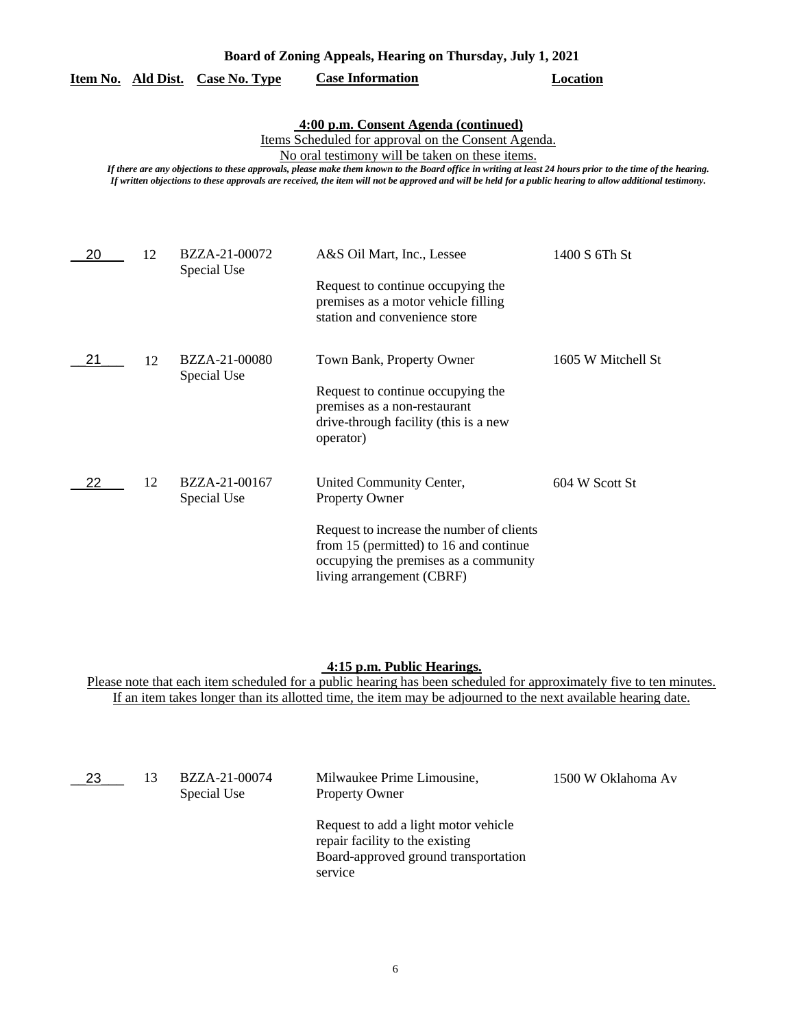| Board of Zoning Appeals, Hearing on Thursday, July 1, 2021 |  |  |  |  |
|------------------------------------------------------------|--|--|--|--|
|------------------------------------------------------------|--|--|--|--|

|  | Item No. Ald Dist. Case No. Type | <b>Case Information</b> | Location |
|--|----------------------------------|-------------------------|----------|
|  |                                  |                         |          |

# **4:00 p.m. Consent Agenda (continued)**

Items Scheduled for approval on the Consent Agenda.

No oral testimony will be taken on these items.

*If there are any objections to these approvals, please make them known to the Board office in writing at least 24 hours prior to the time of the hearing. If written objections to these approvals are received, the item will not be approved and will be held for a public hearing to allow additional testimony.*

| 20 | 12 | BZZA-21-00072<br>Special Use | A&S Oil Mart, Inc., Lessee                                                                                                                                | 1400 S 6Th St      |
|----|----|------------------------------|-----------------------------------------------------------------------------------------------------------------------------------------------------------|--------------------|
|    |    |                              | Request to continue occupying the<br>premises as a motor vehicle filling<br>station and convenience store                                                 |                    |
| 21 | 12 | BZZA-21-00080<br>Special Use | Town Bank, Property Owner                                                                                                                                 | 1605 W Mitchell St |
|    |    |                              | Request to continue occupying the<br>premises as a non-restaurant<br>drive-through facility (this is a new<br>operator)                                   |                    |
| 22 | 12 | BZZA-21-00167<br>Special Use | United Community Center,<br><b>Property Owner</b>                                                                                                         | 604 W Scott St     |
|    |    |                              | Request to increase the number of clients<br>from 15 (permitted) to 16 and continue<br>occupying the premises as a community<br>living arrangement (CBRF) |                    |

#### **4:15 p.m. Public Hearings.**

Please note that each item scheduled for a public hearing has been scheduled for approximately five to ten minutes. If an item takes longer than its allotted time, the item may be adjourned to the next available hearing date.

| 23 | 13 | BZZA-21-00074<br>Special Use | Milwaukee Prime Limousine,<br><b>Property Owner</b>                                                                        | 1500 W Oklahoma Av |
|----|----|------------------------------|----------------------------------------------------------------------------------------------------------------------------|--------------------|
|    |    |                              | Request to add a light motor vehicle<br>repair facility to the existing<br>Board-approved ground transportation<br>service |                    |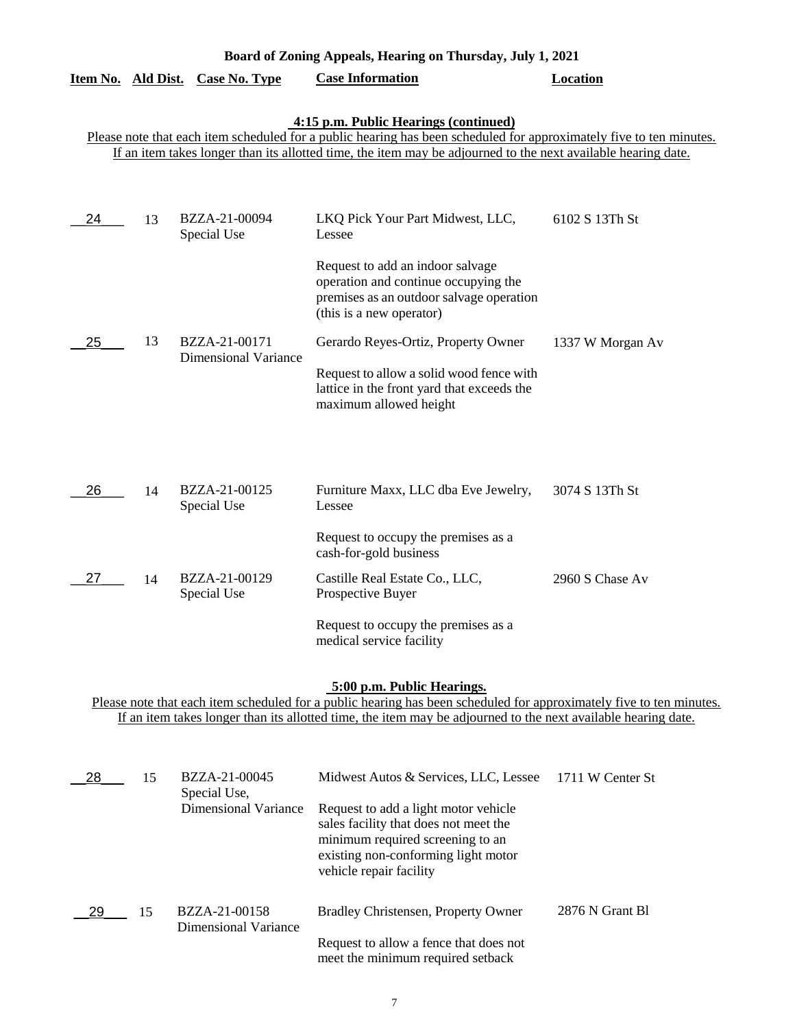| Board of Zoning Appeals, Hearing on Thursday, July 1, 2021                                                                                                                                                                                                                    |    |                                  |                                                                                                                                                  |                  |  |
|-------------------------------------------------------------------------------------------------------------------------------------------------------------------------------------------------------------------------------------------------------------------------------|----|----------------------------------|--------------------------------------------------------------------------------------------------------------------------------------------------|------------------|--|
|                                                                                                                                                                                                                                                                               |    | Item No. Ald Dist. Case No. Type | <b>Case Information</b>                                                                                                                          | Location         |  |
| 4:15 p.m. Public Hearings (continued)<br>Please note that each item scheduled for a public hearing has been scheduled for approximately five to ten minutes.<br>If an item takes longer than its allotted time, the item may be adjourned to the next available hearing date. |    |                                  |                                                                                                                                                  |                  |  |
| 24                                                                                                                                                                                                                                                                            | 13 | BZZA-21-00094<br>Special Use     | LKQ Pick Your Part Midwest, LLC,<br>Lessee                                                                                                       | 6102 S 13Th St   |  |
|                                                                                                                                                                                                                                                                               |    |                                  | Request to add an indoor salvage<br>operation and continue occupying the<br>premises as an outdoor salvage operation<br>(this is a new operator) |                  |  |
| 25                                                                                                                                                                                                                                                                            | 13 | BZZA-21-00171                    | Gerardo Reyes-Ortiz, Property Owner                                                                                                              | 1337 W Morgan Av |  |
|                                                                                                                                                                                                                                                                               |    | <b>Dimensional Variance</b>      | Request to allow a solid wood fence with<br>lattice in the front yard that exceeds the<br>maximum allowed height                                 |                  |  |
|                                                                                                                                                                                                                                                                               |    |                                  |                                                                                                                                                  |                  |  |
| 26                                                                                                                                                                                                                                                                            | 14 | BZZA-21-00125<br>Special Use     | Furniture Maxx, LLC dba Eve Jewelry,<br>Lessee                                                                                                   | 3074 S 13Th St   |  |
|                                                                                                                                                                                                                                                                               |    |                                  | Request to occupy the premises as a<br>cash-for-gold business                                                                                    |                  |  |
| 27                                                                                                                                                                                                                                                                            | 14 | BZZA-21-00129<br>Special Use     | Castille Real Estate Co., LLC,<br>Prospective Buyer                                                                                              | 2960 S Chase Av  |  |
|                                                                                                                                                                                                                                                                               |    |                                  | Request to occupy the premises as a<br>medical service facility                                                                                  |                  |  |

# **5:00 p.m. Public Hearings.**

Please note that each item scheduled for a public hearing has been scheduled for approximately five to ten minutes. If an item takes longer than its allotted time, the item may be adjourned to the next available hearing date.

| 28  | 15 | BZZA-21-00045<br>Special Use,         | Midwest Autos & Services, LLC, Lessee                                                                                                                                               | 1711 W Center St |
|-----|----|---------------------------------------|-------------------------------------------------------------------------------------------------------------------------------------------------------------------------------------|------------------|
|     |    | Dimensional Variance                  | Request to add a light motor vehicle<br>sales facility that does not meet the<br>minimum required screening to an<br>existing non-conforming light motor<br>vehicle repair facility |                  |
| -29 | 15 | BZZA-21-00158<br>Dimensional Variance | Bradley Christensen, Property Owner                                                                                                                                                 | 2876 N Grant B1  |
|     |    |                                       | Request to allow a fence that does not<br>meet the minimum required setback                                                                                                         |                  |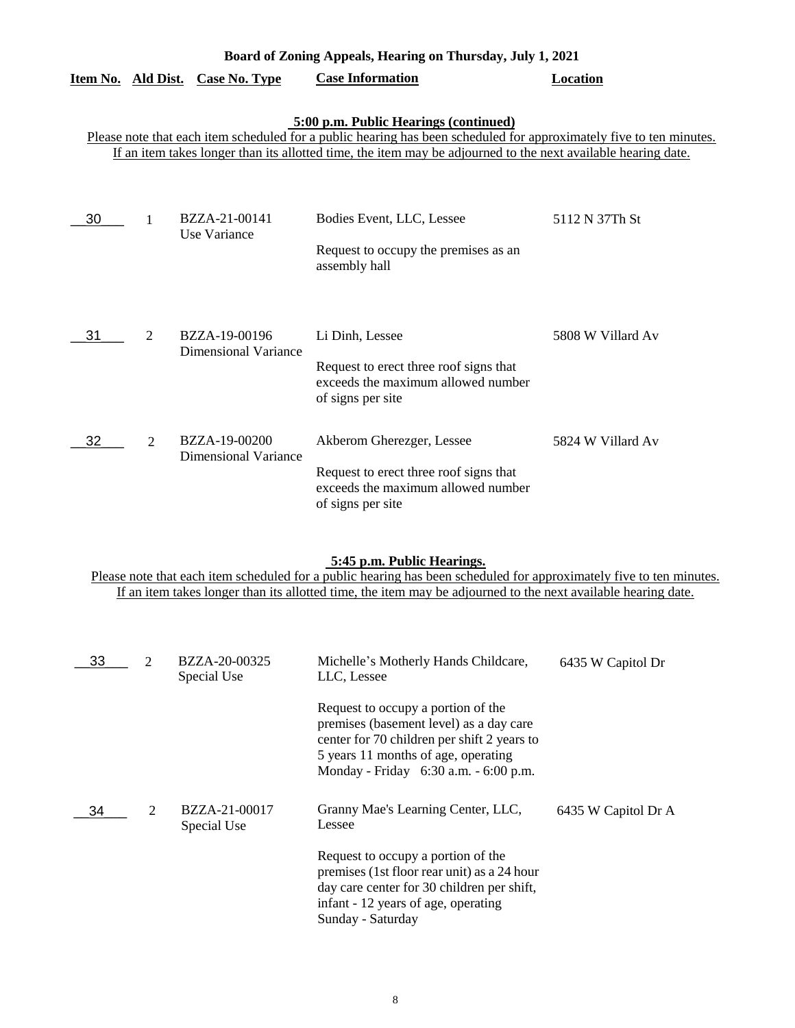| Board of Zoning Appeals, Hearing on Thursday, July 1, 2021                                                                                                                                                                                                                    |                |                                              |                                                                                                                                |                   |  |
|-------------------------------------------------------------------------------------------------------------------------------------------------------------------------------------------------------------------------------------------------------------------------------|----------------|----------------------------------------------|--------------------------------------------------------------------------------------------------------------------------------|-------------------|--|
| <u>Item No. Ald Dist.</u>                                                                                                                                                                                                                                                     |                | Case No. Type                                | <b>Case Information</b>                                                                                                        | Location          |  |
| 5:00 p.m. Public Hearings (continued)<br>Please note that each item scheduled for a public hearing has been scheduled for approximately five to ten minutes.<br>If an item takes longer than its allotted time, the item may be adjourned to the next available hearing date. |                |                                              |                                                                                                                                |                   |  |
| 30                                                                                                                                                                                                                                                                            |                | BZZA-21-00141<br>Use Variance                | Bodies Event, LLC, Lessee<br>Request to occupy the premises as an<br>assembly hall                                             | 5112 N 37Th St    |  |
| 31                                                                                                                                                                                                                                                                            | $\overline{2}$ | BZZA-19-00196<br><b>Dimensional Variance</b> | Li Dinh, Lessee<br>Request to erect three roof signs that<br>exceeds the maximum allowed number<br>of signs per site           | 5808 W Villard Av |  |
| 32                                                                                                                                                                                                                                                                            | $\overline{2}$ | BZZA-19-00200<br><b>Dimensional Variance</b> | Akberom Gherezger, Lessee<br>Request to erect three roof signs that<br>exceeds the maximum allowed number<br>of signs per site | 5824 W Villard Av |  |

## **5:45 p.m. Public Hearings.**

Please note that each item scheduled for a public hearing has been scheduled for approximately five to ten minutes. If an item takes longer than its allotted time, the item may be adjourned to the next available hearing date.

| 33 | $\mathcal{D}_{\mathcal{L}}$ | BZZA-20-00325<br>Special Use | Michelle's Motherly Hands Childcare,<br>LLC, Lessee                                                                                                                                                          | 6435 W Capitol Dr   |
|----|-----------------------------|------------------------------|--------------------------------------------------------------------------------------------------------------------------------------------------------------------------------------------------------------|---------------------|
|    |                             |                              | Request to occupy a portion of the<br>premises (basement level) as a day care<br>center for 70 children per shift 2 years to<br>5 years 11 months of age, operating<br>Monday - Friday 6:30 a.m. - 6:00 p.m. |                     |
| 34 | 2                           | BZZA-21-00017<br>Special Use | Granny Mae's Learning Center, LLC,<br>Lessee                                                                                                                                                                 | 6435 W Capitol Dr A |
|    |                             |                              | Request to occupy a portion of the<br>premises (1st floor rear unit) as a 24 hour<br>day care center for 30 children per shift,<br>infant - 12 years of age, operating<br>Sunday - Saturday                  |                     |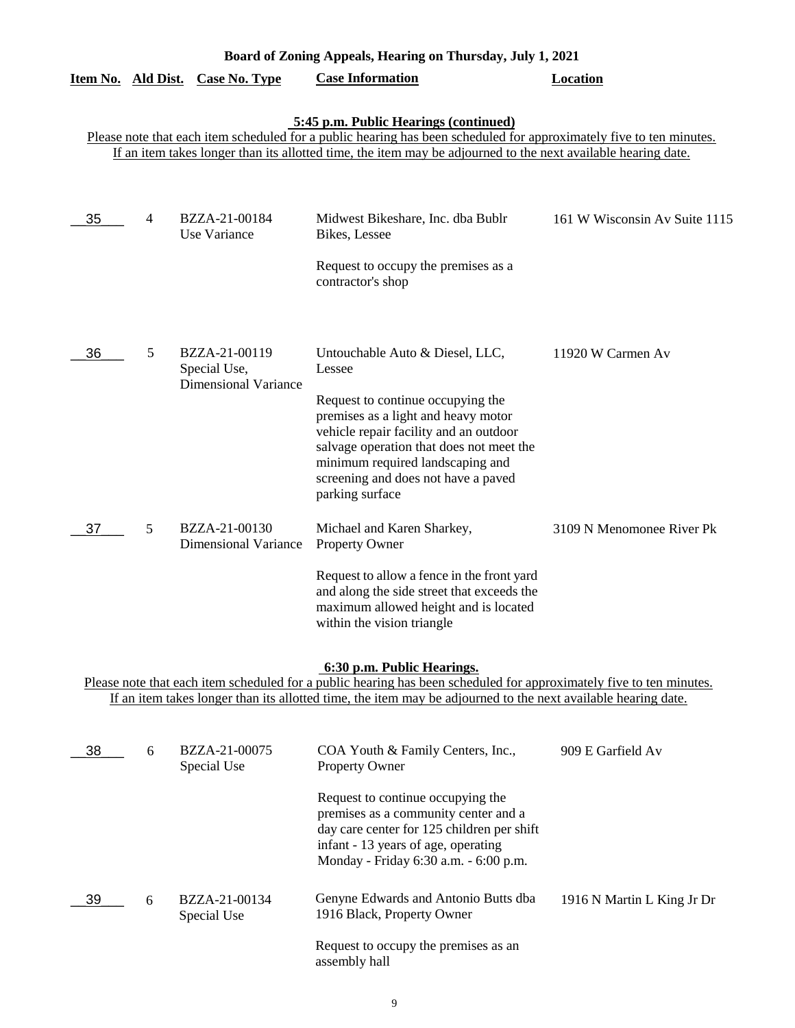| Board of Zoning Appeals, Hearing on Thursday, July 1, 2021                                                                                                                                                                                                                    |   |                                                              |                                                                                                                                                                                                                                                              |                               |  |
|-------------------------------------------------------------------------------------------------------------------------------------------------------------------------------------------------------------------------------------------------------------------------------|---|--------------------------------------------------------------|--------------------------------------------------------------------------------------------------------------------------------------------------------------------------------------------------------------------------------------------------------------|-------------------------------|--|
| Item No. Ald Dist.                                                                                                                                                                                                                                                            |   | <b>Case No. Type</b>                                         | <b>Case Information</b>                                                                                                                                                                                                                                      | <b>Location</b>               |  |
| 5:45 p.m. Public Hearings (continued)<br>Please note that each item scheduled for a public hearing has been scheduled for approximately five to ten minutes.<br>If an item takes longer than its allotted time, the item may be adjourned to the next available hearing date. |   |                                                              |                                                                                                                                                                                                                                                              |                               |  |
| 35                                                                                                                                                                                                                                                                            | 4 | BZZA-21-00184<br>Use Variance                                | Midwest Bikeshare, Inc. dba Bublr<br>Bikes, Lessee                                                                                                                                                                                                           | 161 W Wisconsin Av Suite 1115 |  |
|                                                                                                                                                                                                                                                                               |   |                                                              | Request to occupy the premises as a<br>contractor's shop                                                                                                                                                                                                     |                               |  |
| 36                                                                                                                                                                                                                                                                            | 5 | BZZA-21-00119<br>Special Use,<br><b>Dimensional Variance</b> | Untouchable Auto & Diesel, LLC,<br>Lessee                                                                                                                                                                                                                    | 11920 W Carmen Av             |  |
|                                                                                                                                                                                                                                                                               |   |                                                              | Request to continue occupying the<br>premises as a light and heavy motor<br>vehicle repair facility and an outdoor<br>salvage operation that does not meet the<br>minimum required landscaping and<br>screening and does not have a paved<br>parking surface |                               |  |
| 37                                                                                                                                                                                                                                                                            | 5 | BZZA-21-00130<br><b>Dimensional Variance</b>                 | Michael and Karen Sharkey,<br>Property Owner                                                                                                                                                                                                                 | 3109 N Menomonee River Pk     |  |
|                                                                                                                                                                                                                                                                               |   |                                                              | Request to allow a fence in the front yard<br>and along the side street that exceeds the<br>maximum allowed height and is located<br>within the vision triangle                                                                                              |                               |  |
| 6:30 p.m. Public Hearings.<br>Please note that each item scheduled for a public hearing has been scheduled for approximately five to ten minutes.<br>If an item takes longer than its allotted time, the item may be adjourned to the next available hearing date.            |   |                                                              |                                                                                                                                                                                                                                                              |                               |  |
| 38                                                                                                                                                                                                                                                                            | 6 | BZZA-21-00075<br>Special Use                                 | COA Youth & Family Centers, Inc.,<br>Property Owner                                                                                                                                                                                                          | 909 E Garfield Av             |  |
|                                                                                                                                                                                                                                                                               |   |                                                              | Request to continue occupying the<br>premises as a community center and a<br>day care center for 125 children per shift<br>infant - 13 years of age, operating<br>Monday - Friday 6:30 a.m. - 6:00 p.m.                                                      |                               |  |
| 39                                                                                                                                                                                                                                                                            | 6 | BZZA-21-00134<br>Special Use                                 | Genyne Edwards and Antonio Butts dba<br>1916 Black, Property Owner                                                                                                                                                                                           | 1916 N Martin L King Jr Dr    |  |
|                                                                                                                                                                                                                                                                               |   |                                                              | Request to occupy the premises as an<br>assembly hall                                                                                                                                                                                                        |                               |  |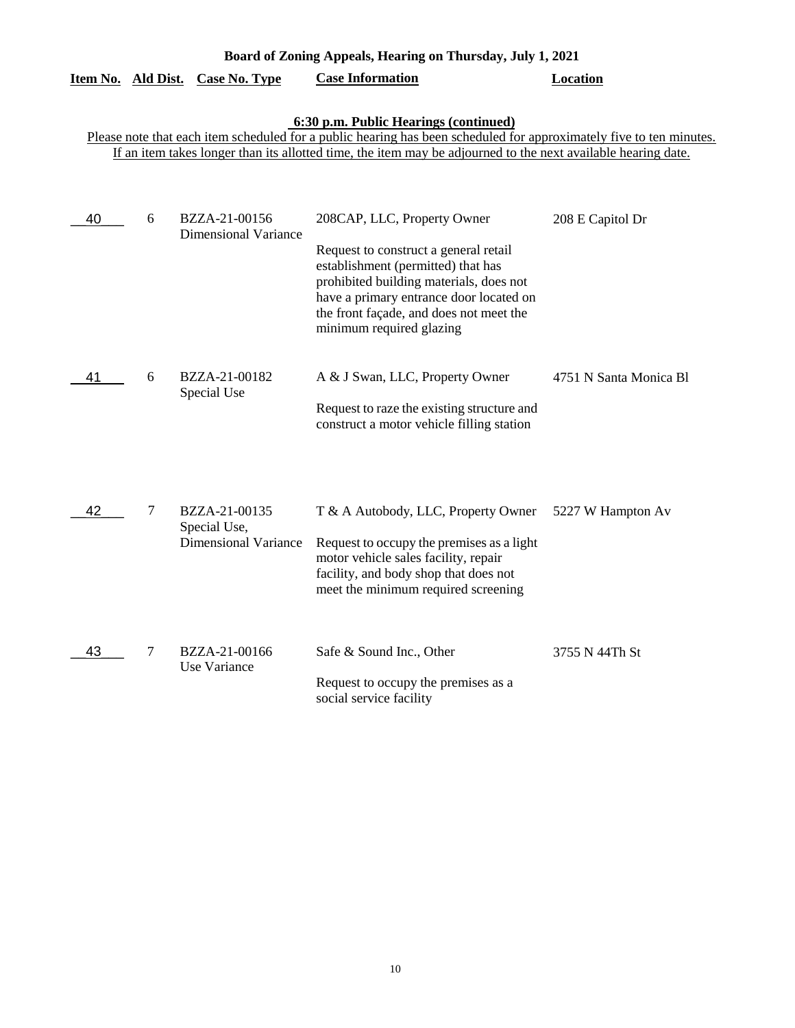| <u>Item No. Ald Dist.</u> |   | <b>Case No. Type</b>                                         | <b>Case Information</b>                                                                                                                                                                                                                                                       | Location               |
|---------------------------|---|--------------------------------------------------------------|-------------------------------------------------------------------------------------------------------------------------------------------------------------------------------------------------------------------------------------------------------------------------------|------------------------|
|                           |   |                                                              | 6:30 p.m. Public Hearings (continued)<br>Please note that each item scheduled for a public hearing has been scheduled for approximately five to ten minutes.<br>If an item takes longer than its allotted time, the item may be adjourned to the next available hearing date. |                        |
| 40                        | 6 | BZZA-21-00156<br><b>Dimensional Variance</b>                 | 208CAP, LLC, Property Owner<br>Request to construct a general retail<br>establishment (permitted) that has<br>prohibited building materials, does not<br>have a primary entrance door located on<br>the front façade, and does not meet the<br>minimum required glazing       | 208 E Capitol Dr       |
| 41                        | 6 | BZZA-21-00182<br>Special Use                                 | A & J Swan, LLC, Property Owner<br>Request to raze the existing structure and<br>construct a motor vehicle filling station                                                                                                                                                    | 4751 N Santa Monica Bl |
| 42                        | 7 | BZZA-21-00135<br>Special Use,<br><b>Dimensional Variance</b> | T & A Autobody, LLC, Property Owner<br>Request to occupy the premises as a light<br>motor vehicle sales facility, repair<br>facility, and body shop that does not<br>meet the minimum required screening                                                                      | 5227 W Hampton Av      |
| 43                        | 7 | BZZA-21-00166<br>Use Variance                                | Safe & Sound Inc., Other<br>Request to occupy the premises as a<br>social service facility                                                                                                                                                                                    | 3755 N 44Th St         |

**Board of Zoning Appeals, Hearing on Thursday, July 1, 2021**